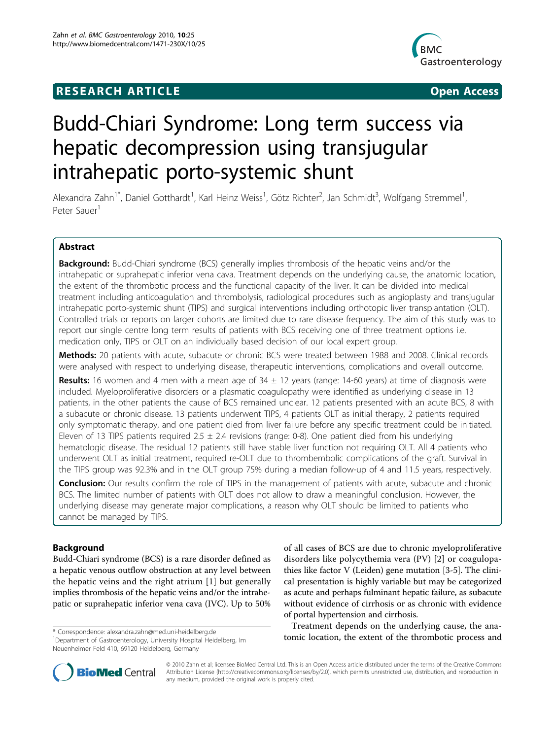## **RESEARCH ARTICLE Example 2018 12:00 Open Access**



# Budd-Chiari Syndrome: Long term success via hepatic decompression using transjugular intrahepatic porto-systemic shunt

Alexandra Zahn<sup>1\*</sup>, Daniel Gotthardt<sup>1</sup>, Karl Heinz Weiss<sup>1</sup>, Götz Richter<sup>2</sup>, Jan Schmidt<sup>3</sup>, Wolfgang Stremmel<sup>1</sup> , Peter Sauer<sup>1</sup>

## Abstract

**Background:** Budd-Chiari syndrome (BCS) generally implies thrombosis of the hepatic veins and/or the intrahepatic or suprahepatic inferior vena cava. Treatment depends on the underlying cause, the anatomic location, the extent of the thrombotic process and the functional capacity of the liver. It can be divided into medical treatment including anticoagulation and thrombolysis, radiological procedures such as angioplasty and transjugular intrahepatic porto-systemic shunt (TIPS) and surgical interventions including orthotopic liver transplantation (OLT). Controlled trials or reports on larger cohorts are limited due to rare disease frequency. The aim of this study was to report our single centre long term results of patients with BCS receiving one of three treatment options i.e. medication only, TIPS or OLT on an individually based decision of our local expert group.

Methods: 20 patients with acute, subacute or chronic BCS were treated between 1988 and 2008. Clinical records were analysed with respect to underlying disease, therapeutic interventions, complications and overall outcome.

**Results:** 16 women and 4 men with a mean age of  $34 \pm 12$  years (range: 14-60 years) at time of diagnosis were included. Myeloproliferative disorders or a plasmatic coagulopathy were identified as underlying disease in 13 patients, in the other patients the cause of BCS remained unclear. 12 patients presented with an acute BCS, 8 with a subacute or chronic disease. 13 patients underwent TIPS, 4 patients OLT as initial therapy, 2 patients required only symptomatic therapy, and one patient died from liver failure before any specific treatment could be initiated. Eleven of 13 TIPS patients required 2.5  $\pm$  2.4 revisions (range: 0-8). One patient died from his underlying hematologic disease. The residual 12 patients still have stable liver function not requiring OLT. All 4 patients who underwent OLT as initial treatment, required re-OLT due to thrombembolic complications of the graft. Survival in the TIPS group was 92.3% and in the OLT group 75% during a median follow-up of 4 and 11.5 years, respectively.

Conclusion: Our results confirm the role of TIPS in the management of patients with acute, subacute and chronic BCS. The limited number of patients with OLT does not allow to draw a meaningful conclusion. However, the underlying disease may generate major complications, a reason why OLT should be limited to patients who cannot be managed by TIPS.

## Background

Budd-Chiari syndrome (BCS) is a rare disorder defined as a hepatic venous outflow obstruction at any level between the hepatic veins and the right atrium [\[1](#page-5-0)] but generally implies thrombosis of the hepatic veins and/or the intrahepatic or suprahepatic inferior vena cava (IVC). Up to 50%

<sup>1</sup>Department of Gastroenterology, University Hospital Heidelberg, Im Neuenheimer Feld 410, 69120 Heidelberg, Germany

of all cases of BCS are due to chronic myeloproliferative disorders like polycythemia vera (PV) [[2](#page-5-0)] or coagulopathies like factor V (Leiden) gene mutation [\[3-5](#page-5-0)]. The clinical presentation is highly variable but may be categorized as acute and perhaps fulminant hepatic failure, as subacute without evidence of cirrhosis or as chronic with evidence of portal hypertension and cirrhosis.

Treatment depends on the underlying cause, the anatomic location, the extent of the thrombotic process and \* Correspondence: [alexandra.zahn@med.uni-heidelberg.de](mailto:alexandra.zahn@med.uni-heidelberg.de)



© 2010 Zahn et al; licensee BioMed Central Ltd. This is an Open Access article distributed under the terms of the Creative Commons Attribution License [\(http://creativecommons.org/licenses/by/2.0](http://creativecommons.org/licenses/by/2.0)), which permits unrestricted use, distribution, and reproduction in any medium, provided the original work is properly cited.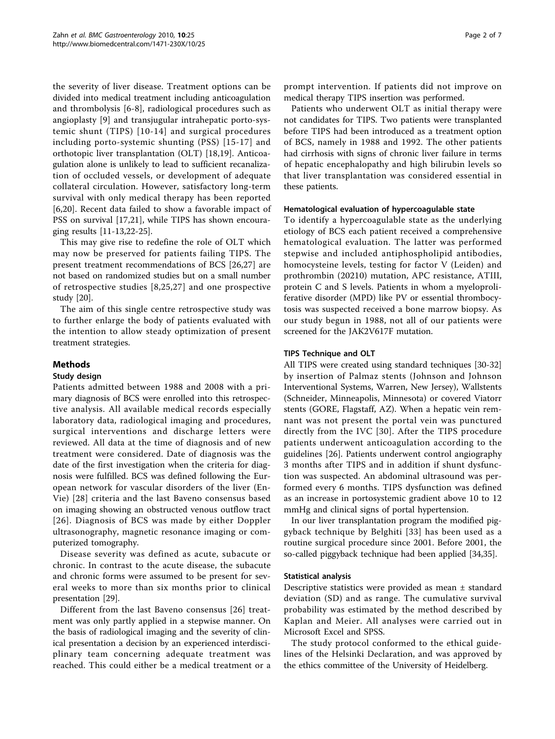the severity of liver disease. Treatment options can be divided into medical treatment including anticoagulation and thrombolysis [[6-8\]](#page-5-0), radiological procedures such as angioplasty [\[9](#page-5-0)] and transjugular intrahepatic porto-systemic shunt (TIPS) [[10](#page-5-0)-[14\]](#page-5-0) and surgical procedures including porto-systemic shunting (PSS) [[15](#page-5-0)-[17\]](#page-5-0) and orthotopic liver transplantation (OLT) [[18,](#page-5-0)[19\]](#page-6-0). Anticoagulation alone is unlikely to lead to sufficient recanalization of occluded vessels, or development of adequate collateral circulation. However, satisfactory long-term survival with only medical therapy has been reported [[6](#page-5-0)[,20](#page-6-0)]. Recent data failed to show a favorable impact of PSS on survival [[17](#page-5-0),[21\]](#page-6-0), while TIPS has shown encouraging results [\[11-13](#page-5-0)[,22](#page-6-0)-[25](#page-6-0)].

This may give rise to redefine the role of OLT which may now be preserved for patients failing TIPS. The present treatment recommendations of BCS [[26,27](#page-6-0)] are not based on randomized studies but on a small number of retrospective studies [[8](#page-5-0),[25](#page-6-0),[27\]](#page-6-0) and one prospective study [[20\]](#page-6-0).

The aim of this single centre retrospective study was to further enlarge the body of patients evaluated with the intention to allow steady optimization of present treatment strategies.

## Methods

## Study design

Patients admitted between 1988 and 2008 with a primary diagnosis of BCS were enrolled into this retrospective analysis. All available medical records especially laboratory data, radiological imaging and procedures, surgical interventions and discharge letters were reviewed. All data at the time of diagnosis and of new treatment were considered. Date of diagnosis was the date of the first investigation when the criteria for diagnosis were fulfilled. BCS was defined following the European network for vascular disorders of the liver (En-Vie) [[28](#page-6-0)] criteria and the last Baveno consensus based on imaging showing an obstructed venous outflow tract [[26](#page-6-0)]. Diagnosis of BCS was made by either Doppler ultrasonography, magnetic resonance imaging or computerized tomography.

Disease severity was defined as acute, subacute or chronic. In contrast to the acute disease, the subacute and chronic forms were assumed to be present for several weeks to more than six months prior to clinical presentation [[29](#page-6-0)].

Different from the last Baveno consensus [[26](#page-6-0)] treatment was only partly applied in a stepwise manner. On the basis of radiological imaging and the severity of clinical presentation a decision by an experienced interdisciplinary team concerning adequate treatment was reached. This could either be a medical treatment or a

prompt intervention. If patients did not improve on medical therapy TIPS insertion was performed.

Patients who underwent OLT as initial therapy were not candidates for TIPS. Two patients were transplanted before TIPS had been introduced as a treatment option of BCS, namely in 1988 and 1992. The other patients had cirrhosis with signs of chronic liver failure in terms of hepatic encephalopathy and high bilirubin levels so that liver transplantation was considered essential in these patients.

## Hematological evaluation of hypercoagulable state

To identify a hypercoagulable state as the underlying etiology of BCS each patient received a comprehensive hematological evaluation. The latter was performed stepwise and included antiphospholipid antibodies, homocysteine levels, testing for factor V (Leiden) and prothrombin (20210) mutation, APC resistance, ATIII, protein C and S levels. Patients in whom a myeloproliferative disorder (MPD) like PV or essential thrombocytosis was suspected received a bone marrow biopsy. As our study begun in 1988, not all of our patients were screened for the JAK2V617F mutation.

## TIPS Technique and OLT

All TIPS were created using standard techniques [\[30](#page-6-0)-[32](#page-6-0)] by insertion of Palmaz stents (Johnson and Johnson Interventional Systems, Warren, New Jersey), Wallstents (Schneider, Minneapolis, Minnesota) or covered Viatorr stents (GORE, Flagstaff, AZ). When a hepatic vein remnant was not present the portal vein was punctured directly from the IVC [[30](#page-6-0)]. After the TIPS procedure patients underwent anticoagulation according to the guidelines [[26\]](#page-6-0). Patients underwent control angiography 3 months after TIPS and in addition if shunt dysfunction was suspected. An abdominal ultrasound was performed every 6 months. TIPS dysfunction was defined as an increase in portosystemic gradient above 10 to 12 mmHg and clinical signs of portal hypertension.

In our liver transplantation program the modified piggyback technique by Belghiti [[33](#page-6-0)] has been used as a routine surgical procedure since 2001. Before 2001, the so-called piggyback technique had been applied [[34,35](#page-6-0)].

#### Statistical analysis

Descriptive statistics were provided as mean ± standard deviation (SD) and as range. The cumulative survival probability was estimated by the method described by Kaplan and Meier. All analyses were carried out in Microsoft Excel and SPSS.

The study protocol conformed to the ethical guidelines of the Helsinki Declaration, and was approved by the ethics committee of the University of Heidelberg.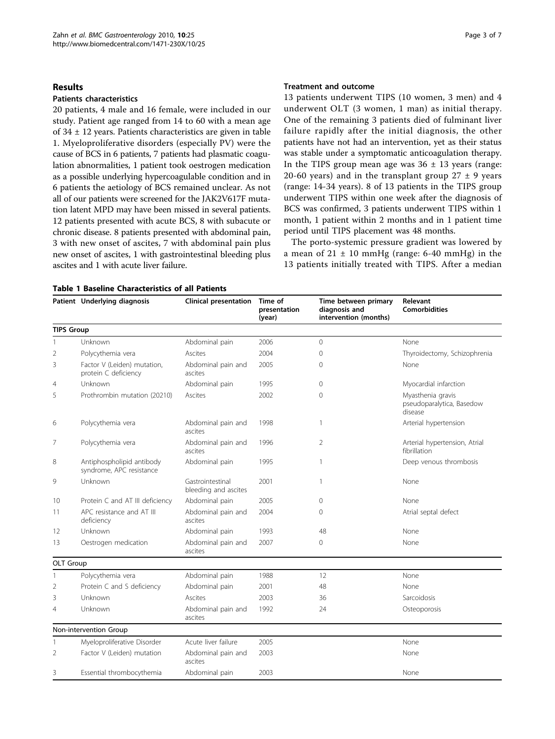#### Results

## Patients characteristics

20 patients, 4 male and 16 female, were included in our study. Patient age ranged from 14 to 60 with a mean age of 34 ± 12 years. Patients characteristics are given in table 1. Myeloproliferative disorders (especially PV) were the cause of BCS in 6 patients, 7 patients had plasmatic coagulation abnormalities, 1 patient took oestrogen medication as a possible underlying hypercoagulable condition and in 6 patients the aetiology of BCS remained unclear. As not all of our patients were screened for the JAK2V617F mutation latent MPD may have been missed in several patients. 12 patients presented with acute BCS, 8 with subacute or chronic disease. 8 patients presented with abdominal pain, 3 with new onset of ascites, 7 with abdominal pain plus new onset of ascites, 1 with gastrointestinal bleeding plus ascites and 1 with acute liver failure.

#### Treatment and outcome

13 patients underwent TIPS (10 women, 3 men) and 4 underwent OLT (3 women, 1 man) as initial therapy. One of the remaining 3 patients died of fulminant liver failure rapidly after the initial diagnosis, the other patients have not had an intervention, yet as their status was stable under a symptomatic anticoagulation therapy. In the TIPS group mean age was  $36 \pm 13$  years (range: 20-60 years) and in the transplant group  $27 \pm 9$  years (range: 14-34 years). 8 of 13 patients in the TIPS group underwent TIPS within one week after the diagnosis of BCS was confirmed, 3 patients underwent TIPS within 1 month, 1 patient within 2 months and in 1 patient time period until TIPS placement was 48 months.

The porto-systemic pressure gradient was lowered by a mean of  $21 \pm 10$  mmHg (range: 6-40 mmHg) in the 13 patients initially treated with TIPS. After a median

|                   | Patient Underlying diagnosis                          | <b>Clinical presentation</b>             | Time of<br>presentation<br>(year) | Time between primary<br>diagnosis and<br>intervention (months) | Relevant<br><b>Comorbidities</b>                          |
|-------------------|-------------------------------------------------------|------------------------------------------|-----------------------------------|----------------------------------------------------------------|-----------------------------------------------------------|
| <b>TIPS Group</b> |                                                       |                                          |                                   |                                                                |                                                           |
| 1                 | Unknown                                               | Abdominal pain                           | 2006                              | $\Omega$                                                       | None                                                      |
| $\overline{2}$    | Polycythemia vera                                     | Ascites                                  | 2004                              | 0                                                              | Thyroidectomy, Schizophrenia                              |
| 3                 | Factor V (Leiden) mutation,<br>protein C deficiency   | Abdominal pain and<br>ascites            | 2005                              | 0                                                              | None                                                      |
| $\overline{4}$    | Unknown                                               | Abdominal pain                           | 1995                              | 0                                                              | Myocardial infarction                                     |
| 5                 | Prothrombin mutation (20210)                          | Ascites                                  | 2002                              | 0                                                              | Myasthenia gravis<br>pseudoparalytica, Basedow<br>disease |
| 6                 | Polycythemia vera                                     | Abdominal pain and<br>ascites            | 1998                              |                                                                | Arterial hypertension                                     |
| 7                 | Polycythemia vera                                     | Abdominal pain and<br>ascites            | 1996                              | 2                                                              | Arterial hypertension, Atrial<br>fibrillation             |
| 8                 | Antiphospholipid antibody<br>syndrome, APC resistance | Abdominal pain                           | 1995                              | 1                                                              | Deep venous thrombosis                                    |
| 9                 | Unknown                                               | Gastrointestinal<br>bleeding and ascites | 2001                              | 1                                                              | None                                                      |
| 10                | Protein C and AT III deficiency                       | Abdominal pain                           | 2005                              | $\Omega$                                                       | None                                                      |
| 11                | APC resistance and AT III<br>deficiency               | Abdominal pain and<br>ascites            | 2004                              | $\Omega$                                                       | Atrial septal defect                                      |
| 12                | Unknown                                               | Abdominal pain                           | 1993                              | 48                                                             | None                                                      |
| 13                | Oestrogen medication                                  | Abdominal pain and<br>ascites            | 2007                              | 0                                                              | None                                                      |
| OLT Group         |                                                       |                                          |                                   |                                                                |                                                           |
|                   | Polycythemia vera                                     | Abdominal pain                           | 1988                              | 12                                                             | None                                                      |
| $\overline{2}$    | Protein C and S deficiency                            | Abdominal pain                           | 2001                              | 48                                                             | None                                                      |
| 3                 | Unknown                                               | Ascites                                  | 2003                              | 36                                                             | Sarcoidosis                                               |
| $\overline{4}$    | Unknown                                               | Abdominal pain and<br>ascites            | 1992                              | 24                                                             | Osteoporosis                                              |
|                   | Non-intervention Group                                |                                          |                                   |                                                                |                                                           |
| 1                 | Myeloproliferative Disorder                           | Acute liver failure                      | 2005                              |                                                                | None                                                      |
| 2                 | Factor V (Leiden) mutation                            | Abdominal pain and<br>ascites            | 2003                              |                                                                | None                                                      |
| 3                 | Essential thrombocythemia                             | Abdominal pain                           | 2003                              |                                                                | None                                                      |

## Table 1 Baseline Characteristics of all Patients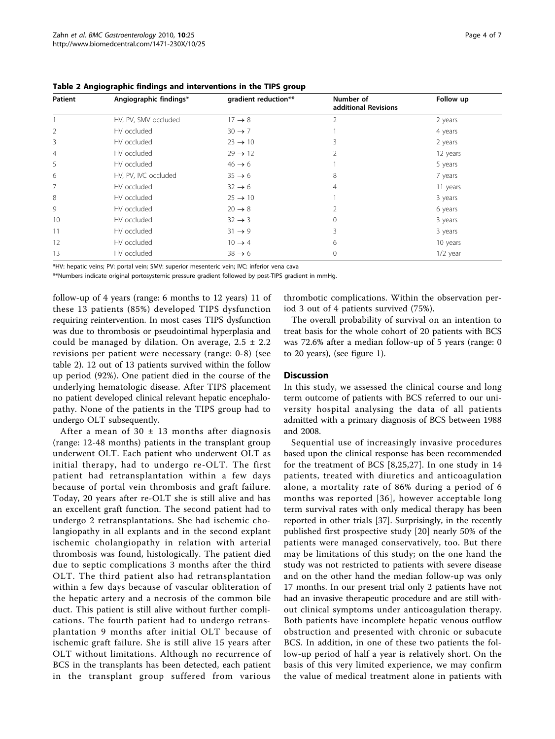| Table 2 Angiographic findings and interventions in the TIPS group |  |  |
|-------------------------------------------------------------------|--|--|
|-------------------------------------------------------------------|--|--|

| Patient | Angiographic findings* | gradient reduction** | Number of<br>additional Revisions | Follow up  |
|---------|------------------------|----------------------|-----------------------------------|------------|
|         | HV, PV, SMV occluded   | $17 \rightarrow 8$   | 2                                 | 2 years    |
| 2       | HV occluded            | $30 \rightarrow 7$   |                                   | 4 years    |
| 3       | HV occluded            | $23 \rightarrow 10$  |                                   | 2 years    |
| 4       | HV occluded            | $29 \rightarrow 12$  |                                   | 12 years   |
| 5       | HV occluded            | $46 \rightarrow 6$   |                                   | 5 years    |
| 6       | HV, PV, IVC occluded   | $35 \rightarrow 6$   | 8                                 | 7 years    |
| 7       | HV occluded            | $32 \rightarrow 6$   | 4                                 | 11 years   |
| 8       | HV occluded            | $25 \rightarrow 10$  |                                   | 3 years    |
| 9       | HV occluded            | $20 \rightarrow 8$   |                                   | 6 years    |
| 10      | HV occluded            | $32 \rightarrow 3$   | $\Omega$                          | 3 years    |
| 11      | HV occluded            | $31 \rightarrow 9$   | 3                                 | 3 years    |
| 12      | HV occluded            | $10 \rightarrow 4$   | 6                                 | 10 years   |
| 13      | HV occluded            | $38 \rightarrow 6$   | 0                                 | $1/2$ year |

\*HV: hepatic veins; PV: portal vein; SMV: superior mesenteric vein; IVC: inferior vena cava

\*\*Numbers indicate original portosystemic pressure gradient followed by post-TIPS gradient in mmHg.

follow-up of 4 years (range: 6 months to 12 years) 11 of these 13 patients (85%) developed TIPS dysfunction requiring reintervention. In most cases TIPS dysfunction was due to thrombosis or pseudointimal hyperplasia and could be managed by dilation. On average,  $2.5 \pm 2.2$ revisions per patient were necessary (range: 0-8) (see table 2). 12 out of 13 patients survived within the follow up period (92%). One patient died in the course of the underlying hematologic disease. After TIPS placement no patient developed clinical relevant hepatic encephalopathy. None of the patients in the TIPS group had to undergo OLT subsequently.

After a mean of  $30 \pm 13$  months after diagnosis (range: 12-48 months) patients in the transplant group underwent OLT. Each patient who underwent OLT as initial therapy, had to undergo re-OLT. The first patient had retransplantation within a few days because of portal vein thrombosis and graft failure. Today, 20 years after re-OLT she is still alive and has an excellent graft function. The second patient had to undergo 2 retransplantations. She had ischemic cholangiopathy in all explants and in the second explant ischemic cholangiopathy in relation with arterial thrombosis was found, histologically. The patient died due to septic complications 3 months after the third OLT. The third patient also had retransplantation within a few days because of vascular obliteration of the hepatic artery and a necrosis of the common bile duct. This patient is still alive without further complications. The fourth patient had to undergo retransplantation 9 months after initial OLT because of ischemic graft failure. She is still alive 15 years after OLT without limitations. Although no recurrence of BCS in the transplants has been detected, each patient in the transplant group suffered from various

thrombotic complications. Within the observation period 3 out of 4 patients survived (75%).

The overall probability of survival on an intention to treat basis for the whole cohort of 20 patients with BCS was 72.6% after a median follow-up of 5 years (range: 0 to 20 years), (see figure [1\)](#page-4-0).

#### **Discussion**

In this study, we assessed the clinical course and long term outcome of patients with BCS referred to our university hospital analysing the data of all patients admitted with a primary diagnosis of BCS between 1988 and 2008.

Sequential use of increasingly invasive procedures based upon the clinical response has been recommended for the treatment of BCS [\[8,](#page-5-0)[25,27\]](#page-6-0). In one study in 14 patients, treated with diuretics and anticoagulation alone, a mortality rate of 86% during a period of 6 months was reported [[36](#page-6-0)], however acceptable long term survival rates with only medical therapy has been reported in other trials [[37\]](#page-6-0). Surprisingly, in the recently published first prospective study [\[20](#page-6-0)] nearly 50% of the patients were managed conservatively, too. But there may be limitations of this study; on the one hand the study was not restricted to patients with severe disease and on the other hand the median follow-up was only 17 months. In our present trial only 2 patients have not had an invasive therapeutic procedure and are still without clinical symptoms under anticoagulation therapy. Both patients have incomplete hepatic venous outflow obstruction and presented with chronic or subacute BCS. In addition, in one of these two patients the follow-up period of half a year is relatively short. On the basis of this very limited experience, we may confirm the value of medical treatment alone in patients with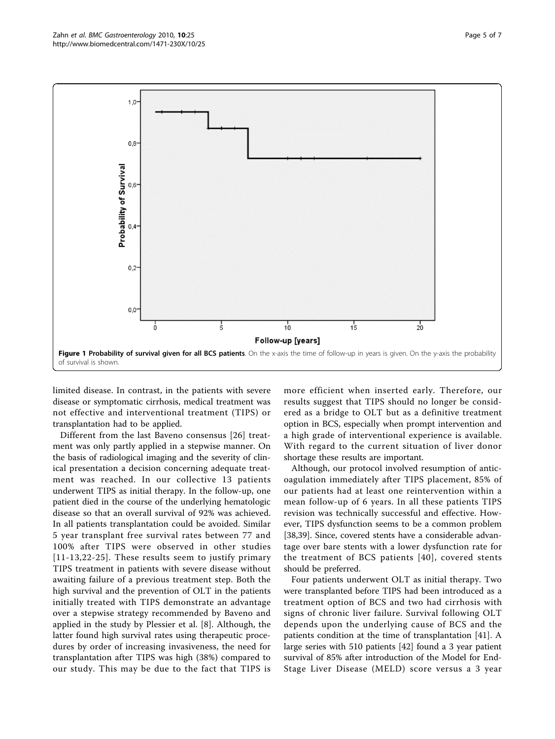<span id="page-4-0"></span>

limited disease. In contrast, in the patients with severe disease or symptomatic cirrhosis, medical treatment was not effective and interventional treatment (TIPS) or transplantation had to be applied.

Different from the last Baveno consensus [[26](#page-6-0)] treatment was only partly applied in a stepwise manner. On the basis of radiological imaging and the severity of clinical presentation a decision concerning adequate treatment was reached. In our collective 13 patients underwent TIPS as initial therapy. In the follow-up, one patient died in the course of the underlying hematologic disease so that an overall survival of 92% was achieved. In all patients transplantation could be avoided. Similar 5 year transplant free survival rates between 77 and 100% after TIPS were observed in other studies [[11-13](#page-5-0),[22-25](#page-6-0)]. These results seem to justify primary TIPS treatment in patients with severe disease without awaiting failure of a previous treatment step. Both the high survival and the prevention of OLT in the patients initially treated with TIPS demonstrate an advantage over a stepwise strategy recommended by Baveno and applied in the study by Plessier et al. [[8\]](#page-5-0). Although, the latter found high survival rates using therapeutic procedures by order of increasing invasiveness, the need for transplantation after TIPS was high (38%) compared to our study. This may be due to the fact that TIPS is

more efficient when inserted early. Therefore, our results suggest that TIPS should no longer be considered as a bridge to OLT but as a definitive treatment option in BCS, especially when prompt intervention and a high grade of interventional experience is available. With regard to the current situation of liver donor shortage these results are important.

Although, our protocol involved resumption of anticoagulation immediately after TIPS placement, 85% of our patients had at least one reintervention within a mean follow-up of 6 years. In all these patients TIPS revision was technically successful and effective. However, TIPS dysfunction seems to be a common problem [[38,39\]](#page-6-0). Since, covered stents have a considerable advantage over bare stents with a lower dysfunction rate for the treatment of BCS patients [[40\]](#page-6-0), covered stents should be preferred.

Four patients underwent OLT as initial therapy. Two were transplanted before TIPS had been introduced as a treatment option of BCS and two had cirrhosis with signs of chronic liver failure. Survival following OLT depends upon the underlying cause of BCS and the patients condition at the time of transplantation [[41\]](#page-6-0). A large series with 510 patients [\[42\]](#page-6-0) found a 3 year patient survival of 85% after introduction of the Model for End-Stage Liver Disease (MELD) score versus a 3 year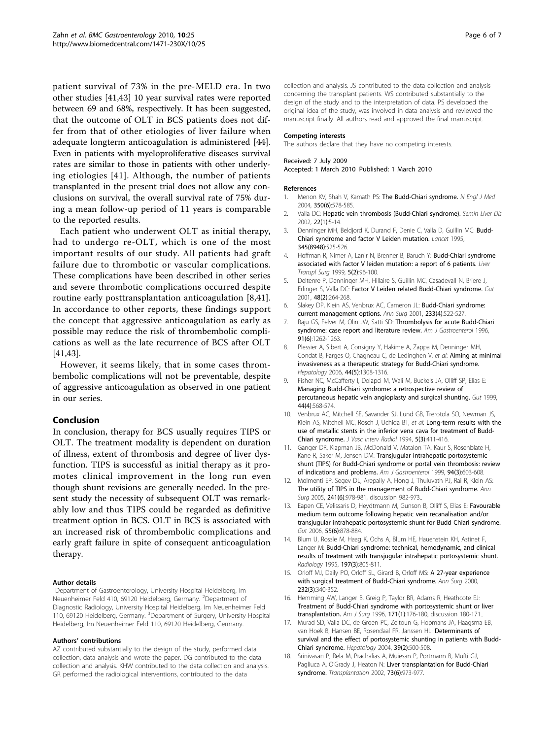<span id="page-5-0"></span>patient survival of 73% in the pre-MELD era. In two other studies [[41,43](#page-6-0)] 10 year survival rates were reported between 69 and 68%, respectively. It has been suggested, that the outcome of OLT in BCS patients does not differ from that of other etiologies of liver failure when adequate longterm anticoagulation is administered [\[44](#page-6-0)]. Even in patients with myeloproliferative diseases survival rates are similar to those in patients with other underlying etiologies [\[41\]](#page-6-0). Although, the number of patients transplanted in the present trial does not allow any conclusions on survival, the overall survival rate of 75% during a mean follow-up period of 11 years is comparable to the reported results.

Each patient who underwent OLT as initial therapy, had to undergo re-OLT, which is one of the most important results of our study. All patients had graft failure due to thrombotic or vascular complications. These complications have been described in other series and severe thrombotic complications occurred despite routine early posttransplantation anticoagulation [8[,41](#page-6-0)]. In accordance to other reports, these findings support the concept that aggressive anticoagulation as early as possible may reduce the risk of thrombembolic complications as well as the late recurrence of BCS after OLT [[41,43\]](#page-6-0).

However, it seems likely, that in some cases thrombembolic complications will not be preventable, despite of aggressive anticoagulation as observed in one patient in our series.

#### Conclusion

In conclusion, therapy for BCS usually requires TIPS or OLT. The treatment modality is dependent on duration of illness, extent of thrombosis and degree of liver dysfunction. TIPS is successful as initial therapy as it promotes clinical improvement in the long run even though shunt revisions are generally needed. In the present study the necessity of subsequent OLT was remarkably low and thus TIPS could be regarded as definitive treatment option in BCS. OLT in BCS is associated with an increased risk of thrombembolic complications and early graft failure in spite of consequent anticoagulation therapy.

#### Author details

<sup>1</sup>Department of Gastroenterology, University Hospital Heidelberg, Im Neuenheimer Feld 410, 69120 Heidelberg, Germany. <sup>2</sup>Department of Diagnostic Radiology, University Hospital Heidelberg, Im Neuenheimer Feld 110, 69120 Heidelberg, Germany. <sup>3</sup>Department of Surgery, University Hospital Heidelberg, Im Neuenheimer Feld 110, 69120 Heidelberg, Germany.

#### Authors' contributions

AZ contributed substantially to the design of the study, performed data collection, data analysis and wrote the paper. DG contributed to the data collection and analysis. KHW contributed to the data collection and analysis. GR performed the radiological interventions, contributed to the data

collection and analysis. JS contributed to the data collection and analysis concerning the transplant patients. WS contributed substantially to the design of the study and to the interpretation of data. PS developed the original idea of the study, was involved in data analysis and reviewed the manuscript finally. All authors read and approved the final manuscript.

#### Competing interests

The authors declare that they have no competing interests.

#### Received: 7 July 2009

Accepted: 1 March 2010 Published: 1 March 2010

#### References

- 1. Menon KV, Shah V, Kamath PS: [The Budd-Chiari syndrome.](http://www.ncbi.nlm.nih.gov/pubmed/14762185?dopt=Abstract) N Engl J Med 2004, 350(6):578-585.
- 2. Valla DC: [Hepatic vein thrombosis \(Budd-Chiari syndrome\).](http://www.ncbi.nlm.nih.gov/pubmed/11928075?dopt=Abstract) Semin Liver Dis 2002, 22(1):5-14.
- 3. Denninger MH, Beldjord K, Durand F, Denie C, Valla D, Guillin MC: [Budd-](http://www.ncbi.nlm.nih.gov/pubmed/7861904?dopt=Abstract)[Chiari syndrome and factor V Leiden mutation.](http://www.ncbi.nlm.nih.gov/pubmed/7861904?dopt=Abstract) Lancet 1995, 345(8948):525-526.
- 4. Hoffman R, Nimer A, Lanir N, Brenner B, Baruch Y: [Budd-Chiari syndrome](http://www.ncbi.nlm.nih.gov/pubmed/10071347?dopt=Abstract) [associated with factor V leiden mutation: a report of 6 patients.](http://www.ncbi.nlm.nih.gov/pubmed/10071347?dopt=Abstract) Liver Transpl Surg 1999, 5(2):96-100.
- 5. Deltenre P, Denninger MH, Hillaire S, Guillin MC, Casadevall N, Briere J, Erlinger S, Valla DC: [Factor V Leiden related Budd-Chiari syndrome.](http://www.ncbi.nlm.nih.gov/pubmed/11156651?dopt=Abstract) Gut 2001, 48(2):264-268.
- 6. Slakey DP, Klein AS, Venbrux AC, Cameron JL: [Budd-Chiari syndrome:](http://www.ncbi.nlm.nih.gov/pubmed/11303134?dopt=Abstract) [current management options.](http://www.ncbi.nlm.nih.gov/pubmed/11303134?dopt=Abstract) Ann Surg 2001, 233(4):522-527.
- 7. Raju GS, Felver M, Olin JW, Satti SD: [Thrombolysis for acute Budd-Chiari](http://www.ncbi.nlm.nih.gov/pubmed/8651186?dopt=Abstract) [syndrome: case report and literature review.](http://www.ncbi.nlm.nih.gov/pubmed/8651186?dopt=Abstract) Am J Gastroenterol 1996, 91(6):1262-1263.
- 8. Plessier A, Sibert A, Consigny Y, Hakime A, Zappa M, Denninger MH, Condat B, Farges O, Chagneau C, de Ledinghen V, et al: [Aiming at minimal](http://www.ncbi.nlm.nih.gov/pubmed/17058215?dopt=Abstract) [invasiveness as a therapeutic strategy for Budd-Chiari syndrome.](http://www.ncbi.nlm.nih.gov/pubmed/17058215?dopt=Abstract) Hepatology 2006, 44(5):1308-1316.
- 9. Fisher NC, McCafferty I, Dolapci M, Wali M, Buckels JA, Olliff SP, Elias E: [Managing Budd-Chiari syndrome: a retrospective review of](http://www.ncbi.nlm.nih.gov/pubmed/10075967?dopt=Abstract) [percutaneous hepatic vein angioplasty and surgical shunting.](http://www.ncbi.nlm.nih.gov/pubmed/10075967?dopt=Abstract) Gut 1999, 44(4):568-574.
- 10. Venbrux AC, Mitchell SE, Savander SJ, Lund GB, Trerotola SO, Newman JS, Klein AS, Mitchell MC, Rosch J, Uchida BT, et al: [Long-term results with the](http://www.ncbi.nlm.nih.gov/pubmed/8054738?dopt=Abstract) [use of metallic stents in the inferior vena cava for treatment of Budd-](http://www.ncbi.nlm.nih.gov/pubmed/8054738?dopt=Abstract)[Chiari syndrome.](http://www.ncbi.nlm.nih.gov/pubmed/8054738?dopt=Abstract) J Vasc Interv Radiol 1994, 5(3):411-416.
- 11. Ganger DR, Klapman JB, McDonald V, Matalon TA, Kaur S, Rosenblate H, Kane R, Saker M, Jensen DM: [Transjugular intrahepatic portosystemic](http://www.ncbi.nlm.nih.gov/pubmed/10086638?dopt=Abstract) [shunt \(TIPS\) for Budd-Chiari syndrome or portal vein thrombosis: review](http://www.ncbi.nlm.nih.gov/pubmed/10086638?dopt=Abstract) [of indications and problems.](http://www.ncbi.nlm.nih.gov/pubmed/10086638?dopt=Abstract) Am J Gastroenterol 1999, 94(3):603-608.
- 12. Molmenti EP, Segev DL, Arepally A, Hong J, Thuluvath PJ, Rai R, Klein AS: [The utility of TIPS in the management of Budd-Chiari syndrome.](http://www.ncbi.nlm.nih.gov/pubmed/15912047?dopt=Abstract) Ann Surg 2005, 241(6):978-981, discussion 982-973.
- 13. Eapen CE, Velissaris D, Heydtmann M, Gunson B, Olliff S, Elias E: [Favourable](http://www.ncbi.nlm.nih.gov/pubmed/16174658?dopt=Abstract) [medium term outcome following hepatic vein recanalisation and/or](http://www.ncbi.nlm.nih.gov/pubmed/16174658?dopt=Abstract) [transjugular intrahepatic portosystemic shunt for Budd Chiari syndrome.](http://www.ncbi.nlm.nih.gov/pubmed/16174658?dopt=Abstract) Gut 2006, 55(6):878-884.
- 14. Blum U, Rossle M, Haag K, Ochs A, Blum HE, Hauenstein KH, Astinet F, Langer M: [Budd-Chiari syndrome: technical, hemodynamic, and clinical](http://www.ncbi.nlm.nih.gov/pubmed/7480760?dopt=Abstract) [results of treatment with transjugular intrahepatic portosystemic shunt.](http://www.ncbi.nlm.nih.gov/pubmed/7480760?dopt=Abstract) Radiology 1995, 197(3):805-811.
- 15. Orloff MJ, Daily PO, Orloff SL, Girard B, Orloff MS: [A 27-year experience](http://www.ncbi.nlm.nih.gov/pubmed/10973384?dopt=Abstract) [with surgical treatment of Budd-Chiari syndrome.](http://www.ncbi.nlm.nih.gov/pubmed/10973384?dopt=Abstract) Ann Surg 2000, 232(3):340-352.
- 16. Hemming AW, Langer B, Greig P, Taylor BR, Adams R, Heathcote EJ: [Treatment of Budd-Chiari syndrome with portosystemic shunt or liver](http://www.ncbi.nlm.nih.gov/pubmed/8554136?dopt=Abstract) [transplantation.](http://www.ncbi.nlm.nih.gov/pubmed/8554136?dopt=Abstract) Am J Surg 1996, 171(1):176-180, discussion 180-171..
- 17. Murad SD, Valla DC, de Groen PC, Zeitoun G, Hopmans JA, Haagsma EB, van Hoek B, Hansen BE, Rosendaal FR, Janssen HL: [Determinants of](http://www.ncbi.nlm.nih.gov/pubmed/14768004?dopt=Abstract) [survival and the effect of portosystemic shunting in patients with Budd-](http://www.ncbi.nlm.nih.gov/pubmed/14768004?dopt=Abstract)[Chiari syndrome.](http://www.ncbi.nlm.nih.gov/pubmed/14768004?dopt=Abstract) Hepatology 2004, 39(2):500-508.
- 18. Srinivasan P, Rela M, Prachalias A, Muiesan P, Portmann B, Mufti GJ, Pagliuca A, O'Grady J, Heaton N: [Liver transplantation for Budd-Chiari](http://www.ncbi.nlm.nih.gov/pubmed/11923703?dopt=Abstract) [syndrome.](http://www.ncbi.nlm.nih.gov/pubmed/11923703?dopt=Abstract) Transplantation 2002, 73(6):973-977.